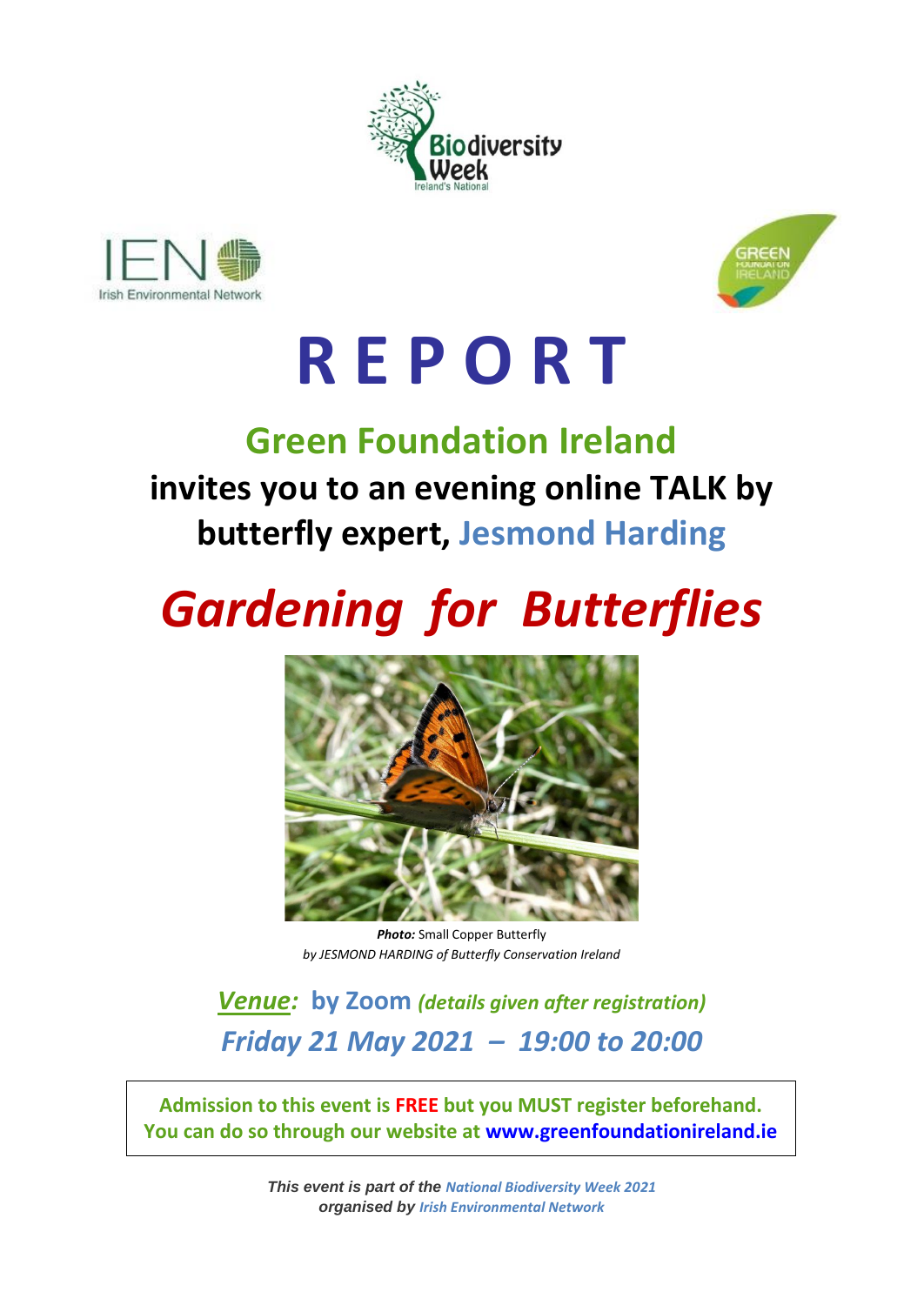





# **R E P O R T**

### **Green Foundation Ireland invites you to an evening online TALK by butterfly expert, Jesmond Harding**

## *Gardening for Butterflies*



*Photo:* Small Copper Butterfly *by JESMOND HARDING of Butterfly Conservation Ireland*

*Venue:* **by Zoom** *(details given after registration) Friday 21 May 2021 – 19:00 to 20:00*

**Admission to this event is FREE but you MUST register beforehand. You can do so through our website at [www.greenfoundationireland.ie](http://www.greenfoundationireland.ie/)**

> *This event is part of the National Biodiversity Week 2021 organised by Irish Environmental Network*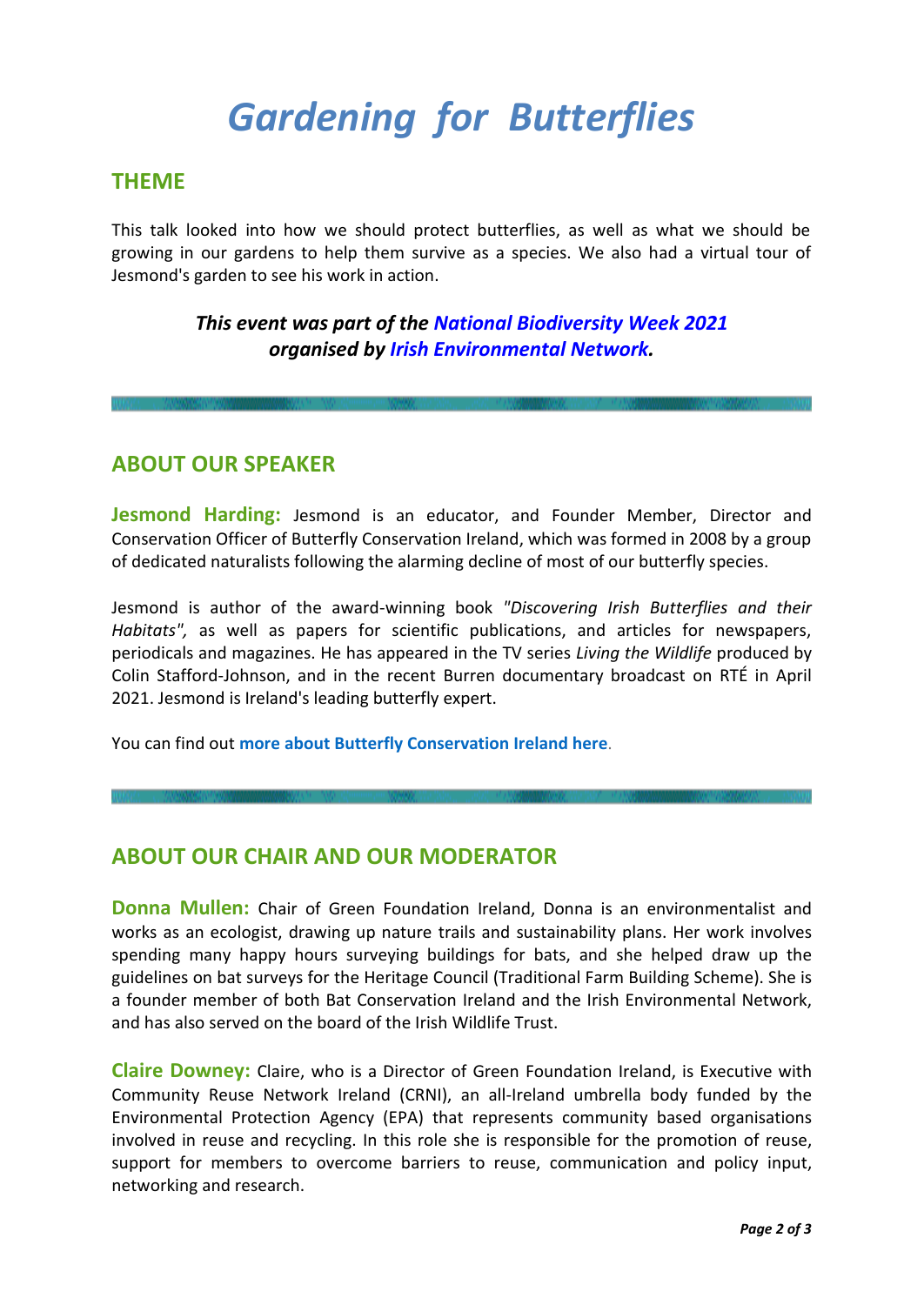## *Gardening for Butterflies*

#### **THEME**

This talk looked into how we should protect butterflies, as well as what we should be growing in our gardens to help them survive as a species. We also had a virtual tour of Jesmond's garden to see his work in action.

#### *This event was part of the National [Biodiversity](https://biodiversityweek.ie/) Week 2021 organised by Irish [Environmental](https://ien.ie/) Network.*

#### **ABOUT OUR SPEAKER**

**Jesmond Harding:** Jesmond is an educator, and Founder Member, Director and Conservation Officer of Butterfly Conservation Ireland, which was formed in 2008 by a group of dedicated naturalists following the alarming decline of most of our butterfly species.

Jesmond is author of the award-winning book *"Discovering Irish Butterflies and their Habitats",* as well as papers for scientific publications, and articles for newspapers, periodicals and magazines. He has appeared in the TV series *Living the Wildlife* produced by Colin Stafford-Johnson, and in the recent Burren documentary broadcast on RTÉ in April 2021. Jesmond is Ireland's leading butterfly expert.

You can find out **more about Butterfly [Conservation](https://butterflyconservation.ie/wp/) Ireland here**.

#### **ABOUT OUR CHAIR AND OUR MODERATOR**

**Donna Mullen:** Chair of Green Foundation Ireland, Donna is an environmentalist and works as an ecologist, drawing up nature trails and sustainability plans. Her work involves spending many happy hours surveying buildings for bats, and she helped draw up the guidelines on bat surveys for the Heritage Council (Traditional Farm Building Scheme). She is a founder member of both Bat Conservation Ireland and the Irish Environmental Network, and has also served on the board of the Irish Wildlife Trust.

**Claire Downey:** Claire, who is a Director of Green Foundation Ireland, is Executive with Community Reuse Network Ireland (CRNI), an all-Ireland umbrella body funded by the Environmental Protection Agency (EPA) that represents community based organisations involved in reuse and recycling. In this role she is responsible for the promotion of reuse, support for members to overcome barriers to reuse, communication and policy input, networking and research.